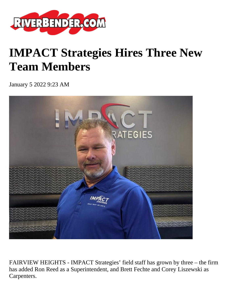

## **IMPACT Strategies Hires Three New Team Members**

January 5 2022 9:23 AM



FAIRVIEW HEIGHTS - IMPACT Strategies' field staff has grown by three – the firm has added Ron Reed as a Superintendent, and Brett Fechte and Corey Liszewski as Carpenters.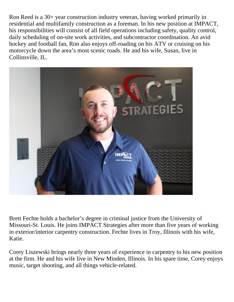Ron Reed is a 30+ year construction industry veteran, having worked primarily in residential and multifamily construction as a foreman. In his new position at IMPACT, his responsibilities will consist of all field operations including safety, quality control, daily scheduling of on-site work activities, and subcontractor coordination. An avid hockey and football fan, Ron also enjoys off-roading on his ATV or cruising on his motorcycle down the area's most scenic roads. He and his wife, Susan, live in Collinsville, IL.



Brett Fechte holds a bachelor's degree in criminal justice from the University of Missouri-St. Louis. He joins IMPACT Strategies after more than five years of working in exterior/interior carpentry construction. Fechte lives in Troy, Illinois with his wife, Katie.

Corey Liszewski brings nearly three years of experience in carpentry to his new position at the firm. He and his wife live in New Minden, Illinois. In his spare time, Corey enjoys music, target shooting, and all things vehicle-related.